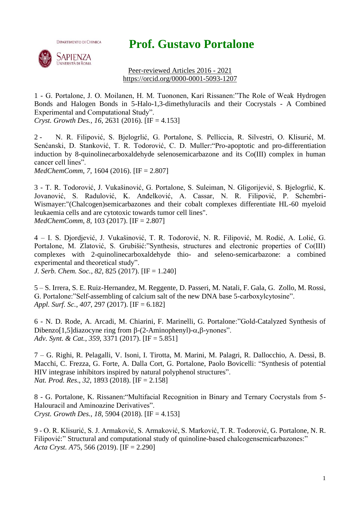**Prof. Gustavo Portalone**



**DIPARTIMENTO DI CHIMICA** 

Peer-reviewed Articles 2016 - 2021 https://orcid.org/0000-0001-5093-1207

1 - G. Portalone, J. O. Moilanen, H. M. Tuononen, Kari Rissanen:"The Role of Weak Hydrogen Bonds and Halogen Bonds in 5-Halo-1,3-dimethyluracils and their Cocrystals - A Combined Experimental and Computational Study".

*Cryst. Growth Des., 16*, 2631 (2016). [IF = 4.153]

2 - N. R. Filipović, S. Bjelogrlić, G. Portalone, S. Pelliccia, R. Silvestri, O. Klisurić, M. Senćanski, D. Stanković, T. R. Todorović, C. D. Muller:"Pro-apoptotic and pro-differentiation induction by 8-quinolinecarboxaldehyde selenosemicarbazone and its Co(III) complex in human cancer cell lines".

*MedChemComm, 7*, 1604 (2016). [IF = 2.807]

3 - T. R. Todorović, J. Vukašinović, G. Portalone, S. Suleiman, N. Gligorijević, S. Bjelogrlić, K. Jovanović, S. Radulović, K. Anđelković, A. Cassar, N. R. Filipović, P. Schembri-Wismayer:"(Chalcogen)semicarbazones and their cobalt complexes differentiate HL-60 myeloid leukaemia cells and are cytotoxic towards tumor cell lines". *MedChemComm, 8*, 103 (2017). [IF = 2.807]

4 – I. S. Djordjević, J. Vukašinović, T. R. Todorović, N. R. Filipović, M. Rodić, A. Lolić, G. Portalone, M. Zlatović, S. Grubišić:"Synthesis, structures and electronic properties of Co(III) complexes with 2-quinolinecarboxaldehyde thio- and seleno-semicarbazone: a combined experimental and theoretical study".

*J. Serb. Chem. Soc., 82*, 825 (2017). [IF = 1.240]

5 – S. Irrera, S. E. Ruiz-Hernandez, M. Reggente, D. Passeri, M. Natali, F. Gala, G. Zollo, M. Rossi, G. Portalone:"Self-assembling of calcium salt of the new DNA base 5-carboxylcytosine". *Appl. Surf. Sc.*, *407*, 297 (2017). [IF = 6.182]

6 - N. D. Rode, A. Arcadi, M. Chiarini, F. Marinelli, G. Portalone:"Gold-Catalyzed Synthesis of Dibenzo[1,5]diazocyne ring from  $\beta$ -(2-Aminophenyl)- $\alpha$ , $\beta$ -ynones". *Adv. Synt. & Cat.*, *359*, 3371 (2017). [IF = 5.851]

7 – G. Righi, R. Pelagalli, V. Isoni, I. Tirotta, M. Marini, M. Palagri, R. Dallocchio, A. Dessì, B. Macchi, C. Frezza, G. Forte, A. Dalla Cort, G. Portalone, Paolo Bovicelli: "Synthesis of potential HIV integrase inhibitors inspired by natural polyphenol structures". *Nat. Prod. Res*., *32*, 1893 (2018). [IF = 2.158]

8 - G. Portalone, K. Rissanen:"Multifacial Recognition in Binary and Ternary Cocrystals from 5- Halouracil and Aminoazine Derivatives". *Cryst. Growth Des., 18*, 5904 (2018). [IF = 4.153]

9 - O. R. Klisurić, S. J. Armaković, S. Armaković, S. Marković, T. R. Todorović, G. Portalone, N. R. Filipović:" Structural and computational study of quinoline-based chalcogensemicarbazones:" *Acta Cryst. A*75, 566 (2019). [IF = 2.290]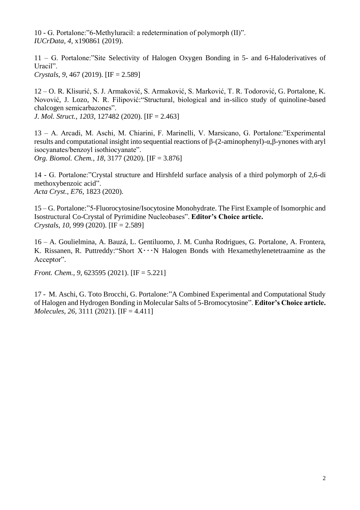10 - G. Portalone:"6-Methyluracil: a redetermination of polymorph (II)". *IUCrData, 4*, x190861 (2019).

11 – G. Portalone:"Site Selectivity of Halogen Oxygen Bonding in 5- and 6-Haloderivatives of Uracil". *Crystals*, *9*, 467 (2019). [IF = 2.589]

12 – O. R. Klisurić, S. J. [Armaković, S. Armaković, S. Marković, T. R. Todorović, G. Portalone, K.](https://www.sciencedirect.com/science/article/abs/pii/S0022286019315911?via%3Dihub#!)  [Novović, J. Lozo, N. R. Filipović:](https://www.sciencedirect.com/science/article/abs/pii/S0022286019315911?via%3Dihub#!)"Structural, biological and in-silico study of quinoline-based chalcogen semicarbazones".

*J. Mol. Struct.*, *1203*, 127482 (2020). [IF = 2.463]

13 – A. Arcadi, M. Aschi, M. Chiarini, F. Marinelli, V. Marsicano, G. Portalone:"Experimental results and computational insight into sequential reactions of β-(2-aminophenyl)-α,β-ynones with aryl isocyanates/benzoyl isothiocyanate".

*Org. Biomol. Chem.*, *18*, 3177 (2020). [IF = 3.876]

14 - G. Portalone:"Crystal structure and Hirshfeld surface analysis of a third polymorph of 2,6-di methoxybenzoic acid". *Acta Cryst., E76*, 1823 (2020).

15 – G. Portalone:"5-Fluorocytosine/Isocytosine Monohydrate. The First Example of Isomorphic and Isostructural Co-Crystal of Pyrimidine Nucleobases". **Editor's Choice article.** *Crystals*, *10*, 999 (2020). [IF = 2.589]

16 – A. Goulielmina, A. Bauzá, L. Gentiluomo, J. M. Cunha Rodrigues, G. Portalone, A. Frontera, K. Rissanen, R. Puttreddy: "Short  $X \cdot \cdot \cdot N$  Halogen Bonds with Hexamethylenetetraamine as the Acceptor".

*Front. Chem., 9, 623595 (2021).* [IF = 5.221]

17 - M. Aschi, G. Toto Brocchi, G. Portalone:"A Combined Experimental and Computational Study of Halogen and Hydrogen Bonding in Molecular Salts of 5-Bromocytosine". **Editor's Choice article.** *Molecules*, *26*, 3111 (2021). [IF = 4.411]